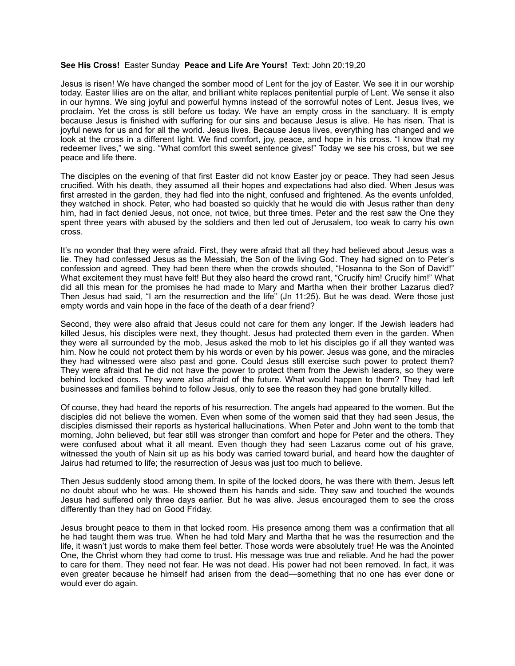## **See His Cross!** Easter Sunday **Peace and Life Are Yours!** Text: John 20:19,20

Jesus is risen! We have changed the somber mood of Lent for the joy of Easter. We see it in our worship today. Easter lilies are on the altar, and brilliant white replaces penitential purple of Lent. We sense it also in our hymns. We sing joyful and powerful hymns instead of the sorrowful notes of Lent. Jesus lives, we proclaim. Yet the cross is still before us today. We have an empty cross in the sanctuary. It is empty because Jesus is finished with suffering for our sins and because Jesus is alive. He has risen. That is joyful news for us and for all the world. Jesus lives. Because Jesus lives, everything has changed and we look at the cross in a different light. We find comfort, joy, peace, and hope in his cross. "I know that my redeemer lives," we sing. "What comfort this sweet sentence gives!" Today we see his cross, but we see peace and life there.

The disciples on the evening of that first Easter did not know Easter joy or peace. They had seen Jesus crucified. With his death, they assumed all their hopes and expectations had also died. When Jesus was first arrested in the garden, they had fled into the night, confused and frightened. As the events unfolded, they watched in shock. Peter, who had boasted so quickly that he would die with Jesus rather than deny him, had in fact denied Jesus, not once, not twice, but three times. Peter and the rest saw the One they spent three years with abused by the soldiers and then led out of Jerusalem, too weak to carry his own cross.

It's no wonder that they were afraid. First, they were afraid that all they had believed about Jesus was a lie. They had confessed Jesus as the Messiah, the Son of the living God. They had signed on to Peter's confession and agreed. They had been there when the crowds shouted, "Hosanna to the Son of David!" What excitement they must have felt! But they also heard the crowd rant, "Crucify him! Crucify him!" What did all this mean for the promises he had made to Mary and Martha when their brother Lazarus died? Then Jesus had said, "I am the resurrection and the life" (Jn 11:25). But he was dead. Were those just empty words and vain hope in the face of the death of a dear friend?

Second, they were also afraid that Jesus could not care for them any longer. If the Jewish leaders had killed Jesus, his disciples were next, they thought. Jesus had protected them even in the garden. When they were all surrounded by the mob, Jesus asked the mob to let his disciples go if all they wanted was him. Now he could not protect them by his words or even by his power. Jesus was gone, and the miracles they had witnessed were also past and gone. Could Jesus still exercise such power to protect them? They were afraid that he did not have the power to protect them from the Jewish leaders, so they were behind locked doors. They were also afraid of the future. What would happen to them? They had left businesses and families behind to follow Jesus, only to see the reason they had gone brutally killed.

Of course, they had heard the reports of his resurrection. The angels had appeared to the women. But the disciples did not believe the women. Even when some of the women said that they had seen Jesus, the disciples dismissed their reports as hysterical hallucinations. When Peter and John went to the tomb that morning, John believed, but fear still was stronger than comfort and hope for Peter and the others. They were confused about what it all meant. Even though they had seen Lazarus come out of his grave, witnessed the youth of Nain sit up as his body was carried toward burial, and heard how the daughter of Jairus had returned to life; the resurrection of Jesus was just too much to believe.

Then Jesus suddenly stood among them. In spite of the locked doors, he was there with them. Jesus left no doubt about who he was. He showed them his hands and side. They saw and touched the wounds Jesus had suffered only three days earlier. But he was alive. Jesus encouraged them to see the cross differently than they had on Good Friday.

Jesus brought peace to them in that locked room. His presence among them was a confirmation that all he had taught them was true. When he had told Mary and Martha that he was the resurrection and the life, it wasn't just words to make them feel better. Those words were absolutely true! He was the Anointed One, the Christ whom they had come to trust. His message was true and reliable. And he had the power to care for them. They need not fear. He was not dead. His power had not been removed. In fact, it was even greater because he himself had arisen from the dead—something that no one has ever done or would ever do again.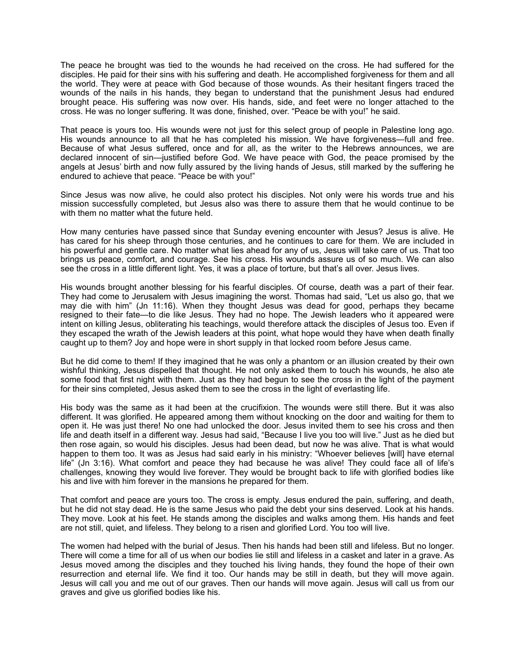The peace he brought was tied to the wounds he had received on the cross. He had suffered for the disciples. He paid for their sins with his suffering and death. He accomplished forgiveness for them and all the world. They were at peace with God because of those wounds. As their hesitant fingers traced the wounds of the nails in his hands, they began to understand that the punishment Jesus had endured brought peace. His suffering was now over. His hands, side, and feet were no longer attached to the cross. He was no longer suffering. It was done, finished, over. "Peace be with you!" he said.

That peace is yours too. His wounds were not just for this select group of people in Palestine long ago. His wounds announce to all that he has completed his mission. We have forgiveness—full and free. Because of what Jesus suffered, once and for all, as the writer to the Hebrews announces, we are declared innocent of sin—justified before God. We have peace with God, the peace promised by the angels at Jesus' birth and now fully assured by the living hands of Jesus, still marked by the suffering he endured to achieve that peace. "Peace be with you!"

Since Jesus was now alive, he could also protect his disciples. Not only were his words true and his mission successfully completed, but Jesus also was there to assure them that he would continue to be with them no matter what the future held.

How many centuries have passed since that Sunday evening encounter with Jesus? Jesus is alive. He has cared for his sheep through those centuries, and he continues to care for them. We are included in his powerful and gentle care. No matter what lies ahead for any of us, Jesus will take care of us. That too brings us peace, comfort, and courage. See his cross. His wounds assure us of so much. We can also see the cross in a little different light. Yes, it was a place of torture, but that's all over. Jesus lives.

His wounds brought another blessing for his fearful disciples. Of course, death was a part of their fear. They had come to Jerusalem with Jesus imagining the worst. Thomas had said, "Let us also go, that we may die with him" (Jn 11:16). When they thought Jesus was dead for good, perhaps they became resigned to their fate—to die like Jesus. They had no hope. The Jewish leaders who it appeared were intent on killing Jesus, obliterating his teachings, would therefore attack the disciples of Jesus too. Even if they escaped the wrath of the Jewish leaders at this point, what hope would they have when death finally caught up to them? Joy and hope were in short supply in that locked room before Jesus came.

But he did come to them! If they imagined that he was only a phantom or an illusion created by their own wishful thinking, Jesus dispelled that thought. He not only asked them to touch his wounds, he also ate some food that first night with them. Just as they had begun to see the cross in the light of the payment for their sins completed, Jesus asked them to see the cross in the light of everlasting life.

His body was the same as it had been at the crucifixion. The wounds were still there. But it was also different. It was glorified. He appeared among them without knocking on the door and waiting for them to open it. He was just there! No one had unlocked the door. Jesus invited them to see his cross and then life and death itself in a different way. Jesus had said, "Because I live you too will live." Just as he died but then rose again, so would his disciples. Jesus had been dead, but now he was alive. That is what would happen to them too. It was as Jesus had said early in his ministry: "Whoever believes [will] have eternal life" (Jn 3:16). What comfort and peace they had because he was alive! They could face all of life's challenges, knowing they would live forever. They would be brought back to life with glorified bodies like his and live with him forever in the mansions he prepared for them.

That comfort and peace are yours too. The cross is empty. Jesus endured the pain, suffering, and death, but he did not stay dead. He is the same Jesus who paid the debt your sins deserved. Look at his hands. They move. Look at his feet. He stands among the disciples and walks among them. His hands and feet are not still, quiet, and lifeless. They belong to a risen and glorified Lord. You too will live.

The women had helped with the burial of Jesus. Then his hands had been still and lifeless. But no longer. There will come a time for all of us when our bodies lie still and lifeless in a casket and later in a grave. As Jesus moved among the disciples and they touched his living hands, they found the hope of their own resurrection and eternal life. We find it too. Our hands may be still in death, but they will move again. Jesus will call you and me out of our graves. Then our hands will move again. Jesus will call us from our graves and give us glorified bodies like his.